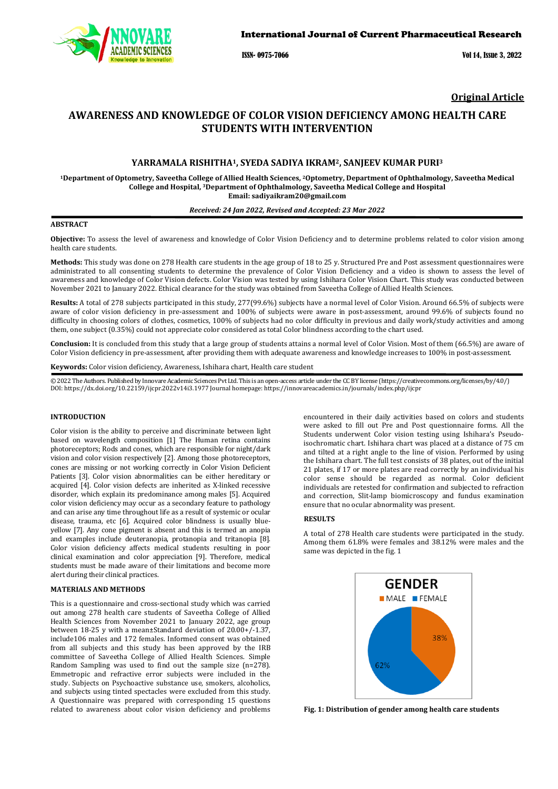

ISSN- 0975-7066 Vol 14, Issue 3, 2022

**Original Article**

# **AWARENESS AND KNOWLEDGE OF COLOR VISION DEFICIENCY AMONG HEALTH CARE STUDENTS WITH INTERVENTION**

### **YARRAMALA RISHITHA1, SYEDA SADIYA IKRAM2, SANJEEV KUMAR PURI3**

**1Department of Optometry, Saveetha College of Allied Health Sciences, 2Optometry, Department of Ophthalmology, Saveetha Medical College and Hospital, 3Department of Ophthalmology, Saveetha Medical College and Hospital Email: sadiyaikram20@gmail.com**

### *Received: 24 Jan 2022, Revised and Accepted: 23 Mar 2022*

### **ABSTRACT**

**Objective:** To assess the level of awareness and knowledge of Color Vision Deficiency and to determine problems related to color vision among health care students.

**Methods:** This study was done on 278 Health care students in the age group of 18 to 25 y. Structured Pre and Post assessment questionnaires were administrated to all consenting students to determine the prevalence of Color Vision Deficiency and a video is shown to assess the level of awareness and knowledge of Color Vision defects. Color Vision was tested by using Ishihara Color Vision Chart. This study was conducted between November 2021 to January 2022. Ethical clearance for the study was obtained from Saveetha College of Allied Health Sciences.

**Results:** A total of 278 subjects participated in this study, 277(99.6%) subjects have a normal level of Color Vision. Around 66.5% of subjects were aware of color vision deficiency in pre-assessment and 100% of subjects were aware in post-assessment, around 99.6% of subjects found no difficulty in choosing colors of clothes, cosmetics, 100% of subjects had no color difficulty in previous and daily work/study activities and among them, one subject (0.35%) could not appreciate color considered as total Color blindness according to the chart used.

**Conclusion:** It is concluded from this study that a large group of students attains a normal level of Color Vision. Most of them (66.5%) are aware of Color Vision deficiency in pre-assessment, after providing them with adequate awareness and knowledge increases to 100% in post-assessment.

**Keywords:** Color vision deficiency, Awareness, Ishihara chart, Health care student

© 2022 The Authors. Published by Innovare Academic Sciences Pvt Ltd. This is an open-access article under the CC BY license [\(https://creativecommons.org/licenses/by/4.0/\)](https://creativecommons.org/licenses/by/4.0/) DOI[: https://dx.doi.org/10.22159/ijcpr.2022v14i3.1](https://dx.doi.org/10.22159/ijcpr.2022v14i3)977 Journal homepage[: https://innovareacademics.in/journals/index.php/ijcpr](https://innovareacademics.in/journals/index.php/ijcpr)

### **INTRODUCTION**

Color vision is the ability to perceive and discriminate between light based on wavelength composition [1] The Human retina contains photoreceptors; Rods and cones, which are responsible for night/dark vision and color vision respectively [2]. Among those photoreceptors, cones are missing or not working correctly in Color Vision Deficient Patients [3]. Color vision abnormalities can be either hereditary or acquired [4]. Color vision defects are inherited as X-linked recessive disorder, which explain its predominance among males [5]. Acquired color vision deficiency may occur as a secondary feature to pathology and can arise any time throughout life as a result of systemic or ocular disease, trauma, etc [6]. Acquired color blindness is usually blueyellow [7]. Any cone pigment is absent and this is termed an anopia and examples include deuteranopia, protanopia and tritanopia [8]. Color vision deficiency affects medical students resulting in poor clinical examination and color appreciation [9]. Therefore, medical students must be made aware of their limitations and become more alert during their clinical practices.

#### **MATERIALS AND METHODS**

This is a questionnaire and cross-sectional study which was carried out among 278 health care students of Saveetha College of Allied Health Sciences from November 2021 to January 2022, age group between 18-25 y with a mean±Standard deviation of 20.00+/-1.37, include106 males and 172 females. Informed consent was obtained from all subjects and this study has been approved by the IRB committee of Saveetha College of Allied Health Sciences. Simple Random Sampling was used to find out the sample size (n=278). Emmetropic and refractive error subjects were included in the study. Subjects on Psychoactive substance use, smokers, alcoholics, and subjects using tinted spectacles were excluded from this study. A Questionnaire was prepared with corresponding 15 questions related to awareness about color vision deficiency and problems encountered in their daily activities based on colors and students were asked to fill out Pre and Post questionnaire forms. All the Students underwent Color vision testing using Ishihara's Pseudoisochromatic chart. Ishihara chart was placed at a distance of 75 cm and tilted at a right angle to the line of vision. Performed by using the Ishihara chart. The full test consists of 38 plates, out of the initial 21 plates, if 17 or more plates are read correctly by an individual his color sense should be regarded as normal. Color deficient individuals are retested for confirmation and subjected to refraction and correction, Slit-lamp biomicroscopy and fundus examination ensure that no ocular abnormality was present.

### **RESULTS**

A total of 278 Health care students were participated in the study. Among them 61.8% were females and 38.12% were males and the same was depicted in the fig. 1



**Fig. 1: Distribution of gender among health care students**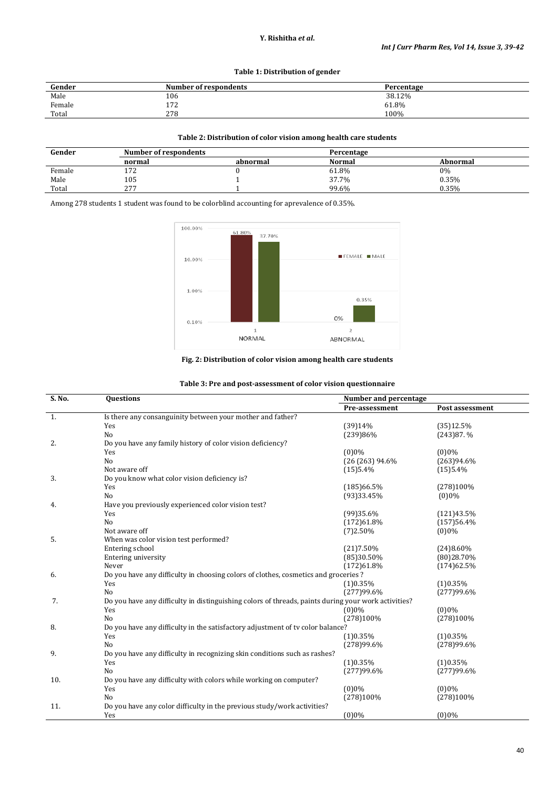## **Y. Rishitha** *et al***.**

## **Table 1: Distribution of gender**

| Gender | <b>Number of respondents</b> | Percentage |
|--------|------------------------------|------------|
| Male   | 106                          | 38.12%     |
| Female | 172                          | 61.8%      |
| Total  | 278                          | 100%       |

### **Table 2: Distribution of color vision among health care students**

| Gender | Number of respondents |          | Percentage    |          |
|--------|-----------------------|----------|---------------|----------|
|        | normal                | abnormal | <b>Normal</b> | Abnormal |
| Female | $-70$<br>174          |          | 61.8%         | 0%       |
| Male   | 105                   |          | 37.7%         | 0.35%    |
| Total  | 277<br><u>.</u>       |          | 99.6%         | 0.35%    |

Among 278 students 1 student was found to be colorblind accounting for aprevalence of 0.35%.



**Fig. 2: Distribution of color vision among health care students**

| Table 3: Pre and post-assessment of color vision questionnaire |
|----------------------------------------------------------------|
|----------------------------------------------------------------|

| S. No. | Questions                                                                                           |                | Number and percentage |  |  |
|--------|-----------------------------------------------------------------------------------------------------|----------------|-----------------------|--|--|
|        |                                                                                                     | Pre-assessment | Post assessment       |  |  |
| 1.     | Is there any consanguinity between your mother and father?                                          |                |                       |  |  |
|        | Yes                                                                                                 | (39)14%        | (35)12.5%             |  |  |
|        | N <sub>o</sub>                                                                                      | (239)86%       | $(243)87.$ %          |  |  |
| 2.     | Do you have any family history of color vision deficiency?                                          |                |                       |  |  |
|        | Yes                                                                                                 | (0)0%          | $(0)0\%$              |  |  |
|        | N <sub>o</sub>                                                                                      | (26(263)94.6%  | (263)94.6%            |  |  |
|        | Not aware off                                                                                       | (15)5.4%       | (15)5.4%              |  |  |
| 3.     | Do you know what color vision deficiency is?                                                        |                |                       |  |  |
|        | Yes                                                                                                 | (185)66.5%     | (278)100%             |  |  |
|        | N <sub>0</sub>                                                                                      | (93)33.45%     | (0)0%                 |  |  |
| 4.     | Have you previously experienced color vision test?                                                  |                |                       |  |  |
|        | Yes                                                                                                 | (99)35.6%      | (121)43.5%            |  |  |
|        | No                                                                                                  | (172)61.8%     | (157)56.4%            |  |  |
|        | Not aware off                                                                                       | (7)2.50%       | $(0)0\%$              |  |  |
| 5.     | When was color vision test performed?                                                               |                |                       |  |  |
|        | Entering school                                                                                     | (21)7.50%      | (24)8.60%             |  |  |
|        | Entering university                                                                                 | (85)30.50%     | (80)28.70%            |  |  |
|        | Never                                                                                               | (172)61.8%     | (174)62.5%            |  |  |
| 6.     | Do you have any difficulty in choosing colors of clothes, cosmetics and groceries?                  |                |                       |  |  |
|        | Yes                                                                                                 | (1)0.35%       | (1)0.35%              |  |  |
|        | N <sub>o</sub>                                                                                      | (277)99.6%     | (277)99.6%            |  |  |
| 7.     | Do you have any difficulty in distinguishing colors of threads, paints during your work activities? |                |                       |  |  |
|        | Yes                                                                                                 | (0)0%          | $(0)0\%$              |  |  |
|        | N <sub>o</sub>                                                                                      | (278)100%      | (278)100%             |  |  |
| 8.     | Do you have any difficulty in the satisfactory adjustment of tv color balance?                      |                |                       |  |  |
|        | Yes                                                                                                 | (1)0.35%       | (1)0.35%              |  |  |
|        | N <sub>0</sub>                                                                                      | (278)99.6%     | (278)99.6%            |  |  |
| 9.     | Do you have any difficulty in recognizing skin conditions such as rashes?                           |                |                       |  |  |
|        | Yes                                                                                                 | (1)0.35%       | (1)0.35%              |  |  |
|        | N <sub>0</sub>                                                                                      | (277)99.6%     | (277)99.6%            |  |  |
| 10.    | Do you have any difficulty with colors while working on computer?                                   |                |                       |  |  |
|        | Yes                                                                                                 | (0)0%          | $(0)0\%$              |  |  |
|        | N <sub>0</sub>                                                                                      | (278)100%      | (278)100%             |  |  |
| 11.    | Do you have any color difficulty in the previous study/work activities?                             |                |                       |  |  |
|        | Yes                                                                                                 | (0)0%          | $(0)0\%$              |  |  |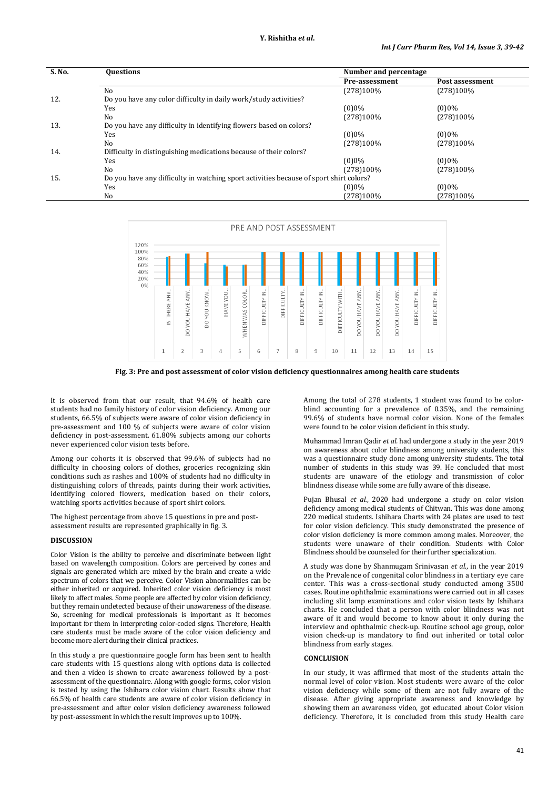| S. No. | <b>Questions</b>                                                                       | Number and percentage |                 |
|--------|----------------------------------------------------------------------------------------|-----------------------|-----------------|
|        |                                                                                        | Pre-assessment        | Post assessment |
|        | No                                                                                     | (278)100%             | (278)100%       |
| 12.    | Do you have any color difficulty in daily work/study activities?                       |                       |                 |
|        | Yes                                                                                    | $(0)0\%$              | $(0)0\%$        |
|        | N <sub>0</sub>                                                                         | (278)100%             | $(278)100\%$    |
| 13.    | Do you have any difficulty in identifying flowers based on colors?                     |                       |                 |
|        | Yes                                                                                    | $(0)0\%$              | $(0)0\%$        |
|        | No                                                                                     | (278)100%             | $(278)100\%$    |
| 14.    | Difficulty in distinguishing medications because of their colors?                      |                       |                 |
|        | Yes                                                                                    | $(0)0\%$              | $(0)0\%$        |
|        | N <sub>o</sub>                                                                         | (278)100%             | (278)100%       |
| 15.    | Do you have any difficulty in watching sport activities because of sport shirt colors? |                       |                 |
|        | Yes                                                                                    | $(0)0\%$              | $(0)0\%$        |
|        | No                                                                                     | (278)100%             | (278)100%       |



**Fig. 3: Pre and post assessment of color vision deficiency questionnaires among health care students**

It is observed from that our result, that 94.6% of health care students had no family history of color vision deficiency. Among our students, 66.5% of subjects were aware of color vision deficiency in pre-assessment and 100 % of subjects were aware of color vision deficiency in post-assessment. 61.80% subjects among our cohorts never experienced color vision tests before.

Among our cohorts it is observed that 99.6% of subjects had no difficulty in choosing colors of clothes, groceries recognizing skin conditions such as rashes and 100% of students had no difficulty in distinguishing colors of threads, paints during their work activities, identifying colored flowers, medication based on their colors, watching sports activities because of sport shirt colors.

The highest percentage from above 15 questions in pre and postassessment results are represented graphically in fig. 3.

#### **DISCUSSION**

Color Vision is the ability to perceive and discriminate between light based on wavelength composition. Colors are perceived by cones and signals are generated which are mixed by the brain and create a wide spectrum of colors that we perceive. Color Vision abnormalities can be either inherited or acquired. Inherited color vision deficiency is most likely to affect males. Some people are affected by color vision deficiency, but they remain undetected because of their unawareness of the disease. So, screening for medical professionals is important as it becomes important for them in interpreting color-coded signs. Therefore, Health care students must be made aware of the color vision deficiency and become more alert during their clinical practices.

In this study a pre questionnaire google form has been sent to health care students with 15 questions along with options data is collected and then a video is shown to create awareness followed by a postassessment of the questionnaire. Along with google forms, color vision is tested by using the Ishihara color vision chart. Results show that 66.5% of health care students are aware of color vision deficiency in pre-assessment and after color vision deficiency awareness followed by post-assessment in which the result improves up to 100%.

Among the total of 278 students, 1 student was found to be colorblind accounting for a prevalence of 0.35%, and the remaining 99.6% of students have normal color vision. None of the females were found to be color vision deficient in this study.

Muhammad Imran Qadir *et al.* had undergone a study in the year 2019 on awareness about color blindness among university students, this was a questionnaire study done among university students. The total number of students in this study was 39. He concluded that most students are unaware of the etiology and transmission of color blindness disease while some are fully aware of this disease.

Pujan Bhusal *et al.*, 2020 had undergone a study on color vision deficiency among medical students of Chitwan. This was done among 220 medical students. Ishihara Charts with 24 plates are used to test for color vision deficiency. This study demonstrated the presence of color vision deficiency is more common among males. Moreover, the students were unaware of their condition. Students with Color Blindness should be counseled for their further specialization.

A study was done by Shanmugam Srinivasan *et al.*, in the year 2019 on the Prevalence of congenital color blindness in a tertiary eye care center. This was a cross-sectional study conducted among 3500 cases. Routine ophthalmic examinations were carried out in all cases including slit lamp examinations and color vision tests by Ishihara charts. He concluded that a person with color blindness was not aware of it and would become to know about it only during the interview and ophthalmic check-up. Routine school age group, color vision check-up is mandatory to find out inherited or total color blindness from early stages.

#### **CONCLUSION**

In our study, it was affirmed that most of the students attain the normal level of color vision. Most students were aware of the color vision deficiency while some of them are not fully aware of the disease. After giving appropriate awareness and knowledge by showing them an awareness video, got educated about Color vision deficiency. Therefore, it is concluded from this study Health care